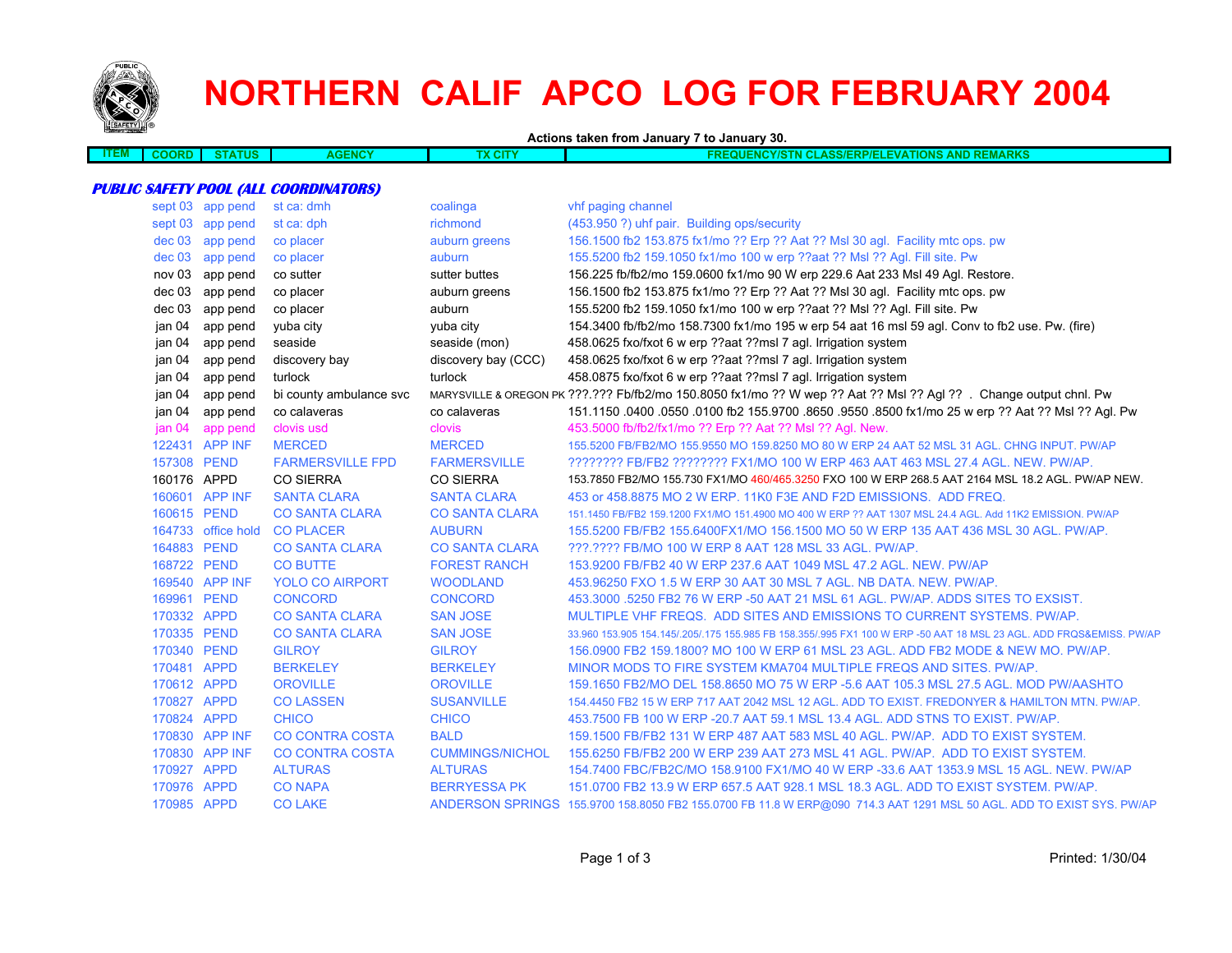

# **NORTHERN CALIF APCO LOG FOR FEBRUARY 2004**

**Actions taken from January 7 to January 30.**

| -171 | ,,,,, | rus<br>$\mathbf{r}$ | ENCY<br>--<br>. | <b>APR</b><br>$\sim$ | <b>ADKS</b><br><b>NION</b><br>NAV<br>$\sim$<br>$-11$<br>.<br>30<br><b>VAIIUNS</b><br>AND NEWA<br>ANNO<br>1111<br>.<br>. |
|------|-------|---------------------|-----------------|----------------------|-------------------------------------------------------------------------------------------------------------------------|
|      |       |                     |                 |                      |                                                                                                                         |
|      |       |                     |                 |                      |                                                                                                                         |

#### **PUBLIC SAFETY POOL (ALL COORDINATORS)**

|             | sept 03 app pend   | st ca: dmh              | coalinga               | vhf paging channel                                                                                                   |
|-------------|--------------------|-------------------------|------------------------|----------------------------------------------------------------------------------------------------------------------|
|             | sept 03 app pend   | st ca: dph              | richmond               | (453.950 ?) uhf pair. Building ops/security                                                                          |
| dec 03      | app pend           | co placer               | auburn greens          | 156.1500 fb2 153.875 fx1/mo ?? Erp ?? Aat ?? Msl 30 agl. Facility mtc ops. pw                                        |
| dec 03      | app pend           | co placer               | auburn                 | 155.5200 fb2 159.1050 fx1/mo 100 w erp ??aat ?? Msl ?? Agl. Fill site. Pw                                            |
| nov 03      | app pend           | co sutter               | sutter buttes          | 156.225 fb/fb2/mo 159.0600 fx1/mo 90 W erp 229.6 Aat 233 Msl 49 Agl. Restore.                                        |
| dec 03      | app pend           | co placer               | auburn greens          | 156.1500 fb2 153.875 fx1/mo ?? Erp ?? Aat ?? Msl 30 agl. Facility mtc ops. pw                                        |
|             | dec 03 app pend    | co placer               | auburn                 | 155.5200 fb2 159.1050 fx1/mo 100 w erp ??aat ?? Msl ?? Agl. Fill site. Pw                                            |
| jan 04      | app pend           | yuba city               | yuba city              | 154.3400 fb/fb2/mo 158.7300 fx1/mo 195 w erp 54 aat 16 msl 59 agl. Conv to fb2 use. Pw. (fire)                       |
| jan 04      | app pend           | seaside                 | seaside (mon)          | 458.0625 fxo/fxot 6 w erp ??aat ??msl 7 agl. Irrigation system                                                       |
| jan 04      | app pend           | discovery bay           | discovery bay (CCC)    | 458.0625 fxo/fxot 6 w erp ??aat ??msl 7 agl. Irrigation system                                                       |
| jan 04      | app pend           | turlock                 | turlock                | 458.0875 fxo/fxot 6 w erp ??aat ??msl 7 agl. Irrigation system                                                       |
| jan 04      | app pend           | bi county ambulance svc |                        | MARYSVILLE & OREGON PK ???.??? Fb/fb2/mo 150.8050 fx1/mo ?? W wep ?? Aat ?? Msl ?? Agl ??. Change output chnl. Pw    |
| jan 04      | app pend           | co calaveras            | co calaveras           | 151.1150 0400 0550 0100 fb2 155.9700 8650 9550 8500 fx1/mo 25 w erp ?? Aat ?? Msl ?? Aql. Pw                         |
| jan 04      | app pend           | clovis usd              | clovis                 | 453.5000 fb/fb2/fx1/mo ?? Erp ?? Aat ?? Msl ?? Agl. New.                                                             |
|             | 122431 APP INF     | <b>MERCED</b>           | <b>MERCED</b>          | 155,5200 FB/FB2/MO 155,9550 MO 159,8250 MO 80 W ERP 24 AAT 52 MSL 31 AGL, CHNG INPUT, PW/AP                          |
| 157308 PEND |                    | <b>FARMERSVILLE FPD</b> | <b>FARMERSVILLE</b>    | ???????? FB/FB2 ??????? FX1/MO 100 W ERP 463 AAT 463 MSL 27.4 AGL. NEW. PW/AP.                                       |
| 160176 APPD |                    | <b>CO SIERRA</b>        | <b>CO SIERRA</b>       | 153.7850 FB2/MO 155.730 FX1/MO 460/465.3250 FXO 100 W ERP 268.5 AAT 2164 MSL 18.2 AGL. PW/AP NEW.                    |
|             | 160601 APP INF     | <b>SANTA CLARA</b>      | <b>SANTA CLARA</b>     | 453 or 458,8875 MO 2 W ERP, 11K0 F3E AND F2D EMISSIONS. ADD FREQ.                                                    |
| 160615 PEND |                    | <b>CO SANTA CLARA</b>   | <b>CO SANTA CLARA</b>  | 151.1450 FB/FB2 159.1200 FX1/MO 151.4900 MO 400 W ERP ?? AAT 1307 MSL 24.4 AGL. Add 11K2 EMISSION. PW/AP             |
|             | 164733 office hold | <b>CO PLACER</b>        | <b>AUBURN</b>          | 155.5200 FB/FB2 155.6400FX1/MO 156.1500 MO 50 W ERP 135 AAT 436 MSL 30 AGL. PW/AP.                                   |
| 164883 PEND |                    | <b>CO SANTA CLARA</b>   | <b>CO SANTA CLARA</b>  | ???.???? FB/MO 100 W ERP 8 AAT 128 MSL 33 AGL, PW/AP.                                                                |
| 168722 PEND |                    | <b>CO BUTTE</b>         | <b>FOREST RANCH</b>    | 153,9200 FB/FB2 40 W ERP 237.6 AAT 1049 MSL 47.2 AGL, NEW, PW/AP                                                     |
|             | 169540 APP INF     | <b>YOLO CO AIRPORT</b>  | <b>WOODLAND</b>        | 453,96250 FXO 1.5 W ERP 30 AAT 30 MSL 7 AGL, NB DATA, NEW, PW/AP,                                                    |
| 169961 PEND |                    | <b>CONCORD</b>          | <b>CONCORD</b>         | 453,3000 .5250 FB2 76 W ERP -50 AAT 21 MSL 61 AGL. PW/AP, ADDS SITES TO EXSIST.                                      |
| 170332 APPD |                    | <b>CO SANTA CLARA</b>   | <b>SAN JOSE</b>        | MULTIPLE VHF FREQS. ADD SITES AND EMISSIONS TO CURRENT SYSTEMS, PW/AP.                                               |
| 170335 PEND |                    | <b>CO SANTA CLARA</b>   | <b>SAN JOSE</b>        | 33,960 153,905 154,145/.205/.175 155,985 FB 158,355/.995 FX1 100 W ERP -50 AAT 18 MSL 23 AGL, ADD FRQS&EMISS, PW/AP  |
| 170340 PEND |                    | <b>GILROY</b>           | <b>GILROY</b>          | 156,0900 FB2 159,1800? MO 100 W ERP 61 MSL 23 AGL, ADD FB2 MODE & NEW MO, PW/AP,                                     |
| 170481 APPD |                    | <b>BERKELEY</b>         | <b>BERKELEY</b>        | MINOR MODS TO FIRE SYSTEM KMA704 MULTIPLE FREQS AND SITES. PW/AP.                                                    |
| 170612 APPD |                    | <b>OROVILLE</b>         | <b>OROVILLE</b>        | 159.1650 FB2/MO DEL 158.8650 MO 75 W ERP -5.6 AAT 105.3 MSL 27.5 AGL. MOD PW/AASHTO                                  |
| 170827 APPD |                    | <b>CO LASSEN</b>        | <b>SUSANVILLE</b>      | 154.4450 FB2 15 W ERP 717 AAT 2042 MSL 12 AGL. ADD TO EXIST. FREDONYER & HAMILTON MTN. PW/AP.                        |
| 170824 APPD |                    | <b>CHICO</b>            | <b>CHICO</b>           | 453.7500 FB 100 W ERP - 20.7 AAT 59.1 MSL 13.4 AGL. ADD STNS TO EXIST. PW/AP.                                        |
|             | 170830 APP INF     | <b>CO CONTRA COSTA</b>  | <b>BALD</b>            | 159.1500 FB/FB2 131 W ERP 487 AAT 583 MSL 40 AGL. PW/AP. ADD TO EXIST SYSTEM.                                        |
|             | 170830 APP INF     | <b>CO CONTRA COSTA</b>  | <b>CUMMINGS/NICHOL</b> | 155,6250 FB/FB2 200 W ERP 239 AAT 273 MSL 41 AGL, PW/AP. ADD TO EXIST SYSTEM.                                        |
| 170927 APPD |                    | <b>ALTURAS</b>          | <b>ALTURAS</b>         | 154.7400 FBC/FB2C/MO 158.9100 FX1/MO 40 W ERP -33.6 AAT 1353.9 MSL 15 AGL, NEW, PW/AP                                |
| 170976 APPD |                    | <b>CO NAPA</b>          | <b>BERRYESSA PK</b>    | 151.0700 FB2 13.9 W ERP 657.5 AAT 928.1 MSL 18.3 AGL, ADD TO EXIST SYSTEM, PW/AP.                                    |
| 170985 APPD |                    | <b>CO LAKE</b>          |                        | ANDERSON SPRINGS 155.9700 158.8050 FB2 155.0700 FB 11.8 W ERP@090 714.3 AAT 1291 MSL 50 AGL. ADD TO EXIST SYS. PW/AP |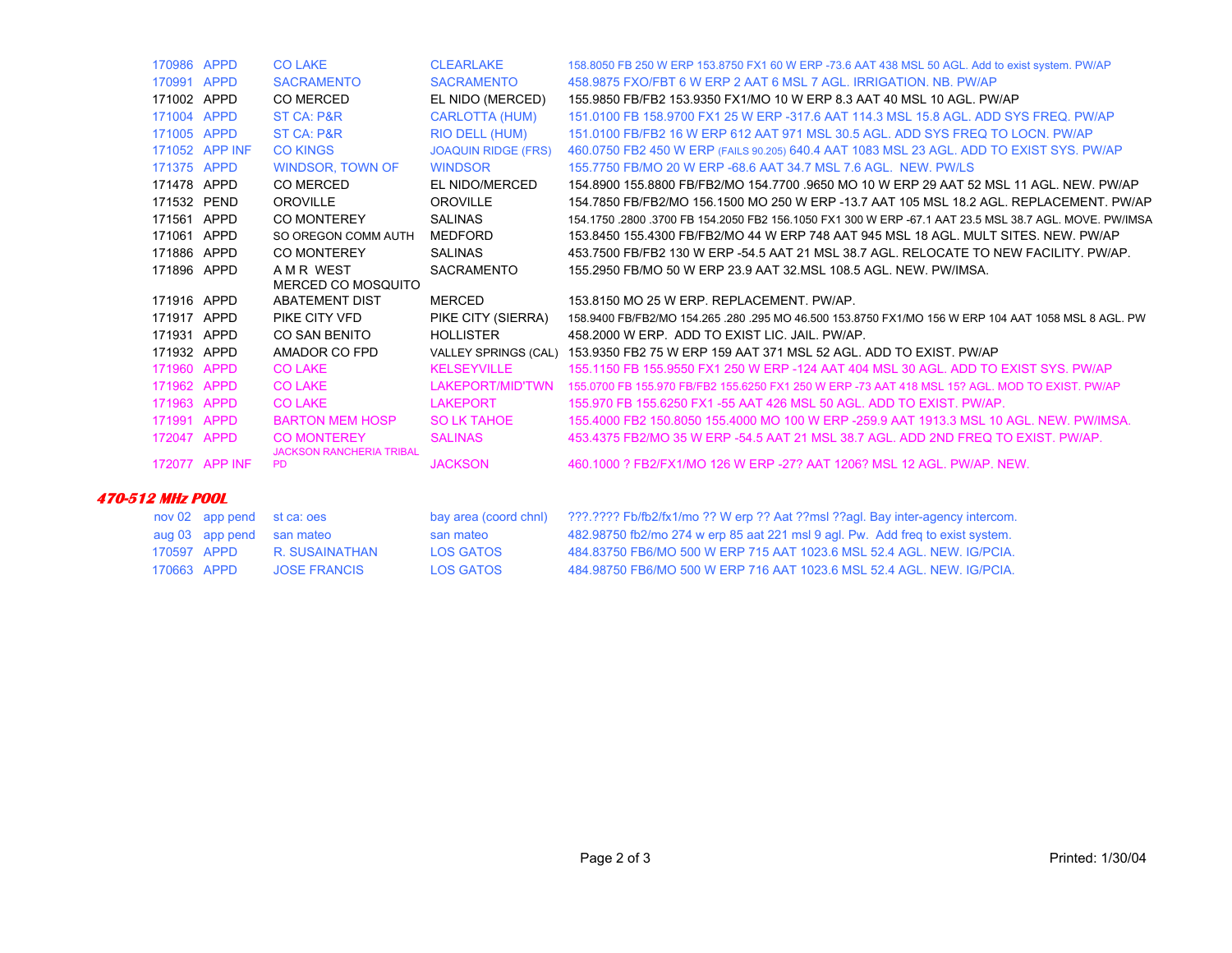| 170986 APPD          |                | <b>CO LAKE</b>                  | <b>CLEARLAKE</b>           | 158.8050 FB 250 W ERP 153.8750 FX1 60 W ERP -73.6 AAT 438 MSL 50 AGL. Add to exist system. PW/AP       |
|----------------------|----------------|---------------------------------|----------------------------|--------------------------------------------------------------------------------------------------------|
| 170991               | APPD           | <b>SACRAMENTO</b>               | <b>SACRAMENTO</b>          | 458,9875 FXO/FBT 6 W ERP 2 AAT 6 MSL 7 AGL, IRRIGATION, NB, PW/AP                                      |
| 171002 APPD          |                | <b>CO MERCED</b>                | EL NIDO (MERCED)           | 155,9850 FB/FB2 153,9350 FX1/MO 10 W ERP 8.3 AAT 40 MSL 10 AGL, PW/AP                                  |
| 171004               | <b>APPD</b>    | ST CA: P&R                      | <b>CARLOTTA (HUM)</b>      | 151,0100 FB 158,9700 FX1 25 W ERP -317.6 AAT 114.3 MSL 15.8 AGL, ADD SYS FREQ, PW/AP                   |
| 171005 APPD          |                | ST CA: P&R                      | RIO DELL (HUM)             | 151,0100 FB/FB2 16 W ERP 612 AAT 971 MSL 30.5 AGL, ADD SYS FREQ TO LOCN, PW/AP                         |
|                      | 171052 APP INF | <b>CO KINGS</b>                 | <b>JOAQUIN RIDGE (FRS)</b> | 460.0750 FB2 450 W ERP (FAILS 90.205) 640.4 AAT 1083 MSL 23 AGL. ADD TO EXIST SYS. PW/AP               |
| 171375 APPD          |                | <b>WINDSOR, TOWN OF</b>         | <b>WINDSOR</b>             | 155,7750 FB/MO 20 W ERP -68.6 AAT 34.7 MSL 7.6 AGL, NEW, PW/LS                                         |
| 171478 APPD          |                | CO MERCED                       | EL NIDO/MERCED             | 154,8900 155,8800 FB/FB2/MO 154,7700 9650 MO 10 W ERP 29 AAT 52 MSL 11 AGL. NEW, PW/AP                 |
| 171532 PEND          |                | OROVILLE                        | <b>OROVILLE</b>            | 154.7850 FB/FB2/MO 156.1500 MO 250 W ERP -13.7 AAT 105 MSL 18.2 AGL. REPLACEMENT, PW/AP                |
| 171561               | APPD           | <b>CO MONTEREY</b>              | <b>SALINAS</b>             | 154.1750 .2800 .3700 FB 154.2050 FB2 156.1050 FX1 300 W ERP -67.1 AAT 23.5 MSL 38.7 AGL. MOVE. PW/IMSA |
| 171061               | APPD           | SO OREGON COMM AUTH             | MEDFORD                    | 153,8450 155,4300 FB/FB2/MO 44 W ERP 748 AAT 945 MSL 18 AGL, MULT SITES, NEW, PW/AP                    |
| 171886               | APPD           | <b>CO MONTEREY</b>              | <b>SALINAS</b>             | 453.7500 FB/FB2 130 W ERP -54.5 AAT 21 MSL 38.7 AGL. RELOCATE TO NEW FACILITY, PW/AP.                  |
| 171896 APPD          |                | A M R WEST                      | <b>SACRAMENTO</b>          | 155,2950 FB/MO 50 W ERP 23.9 AAT 32 MSL 108.5 AGL, NEW, PW/IMSA.                                       |
|                      |                | MERCED CO MOSQUITO              |                            |                                                                                                        |
| 171916 APPD          |                | <b>ABATEMENT DIST</b>           | <b>MERCED</b>              | 153.8150 MO 25 W ERP. REPLACEMENT. PW/AP.                                                              |
| 171917               | APPD           | PIKE CITY VFD                   | PIKE CITY (SIERRA)         | 158.9400 FB/FB2/MO 154.265 .280 .295 MO 46.500 153.8750 FX1/MO 156 W ERP 104 AAT 1058 MSL 8 AGL. PW    |
| 171931               | APPD           | <b>CO SAN BENITO</b>            | <b>HOLLISTER</b>           | 458,2000 W ERP. ADD TO EXIST LIC. JAIL. PW/AP.                                                         |
| 171932               | APPD           | AMADOR CO FPD                   |                            | VALLEY SPRINGS (CAL) 153.9350 FB2 75 W ERP 159 AAT 371 MSL 52 AGL. ADD TO EXIST. PW/AP                 |
| 171960               | <b>APPD</b>    | <b>CO LAKE</b>                  | <b>KELSEYVILLE</b>         | 155.1150 FB 155.9550 FX1 250 W ERP -124 AAT 404 MSL 30 AGL. ADD TO EXIST SYS, PW/AP                    |
| 171962 APPD          |                | <b>CO LAKE</b>                  | LAKEPORT/MID'TWN           | 155,0700 FB 155,970 FB/FB2 155,6250 FX1 250 W ERP -73 AAT 418 MSL 15? AGL, MOD TO EXIST, PW/AP         |
| 171963 APPD          |                | <b>CO LAKE</b>                  | <b>LAKEPORT</b>            | 155,970 FB 155,6250 FX1 -55 AAT 426 MSL 50 AGL, ADD TO EXIST, PW/AP.                                   |
| 171991 APPD          |                | <b>BARTON MEM HOSP</b>          | <b>SO LK TAHOE</b>         | 155,4000 FB2 150,8050 155,4000 MO 100 W ERP -259.9 AAT 1913.3 MSL 10 AGL. NEW. PW/IMSA.                |
| 172047 APPD          |                | <b>CO MONTEREY</b>              | <b>SALINAS</b>             | 453.4375 FB2/MO 35 W ERP -54.5 AAT 21 MSL 38.7 AGL. ADD 2ND FREQ TO EXIST. PW/AP.                      |
|                      |                | <b>JACKSON RANCHERIA TRIBAL</b> |                            |                                                                                                        |
| 172077               | APP INF        | PD.                             | <b>JACKSON</b>             | 460,1000 ? FB2/FX1/MO 126 W ERP -27? AAT 1206? MSL 12 AGL, PW/AP, NEW.                                 |
| -- ---- --- <i>-</i> |                |                                 |                            |                                                                                                        |

#### **470-512 MHz POOL**

| nov 02 app pend st ca: oes |                     | bay area (coord chnl) | ???.???? Fb/fb2/fx1/mo ?? W erp ?? Aat ??msl ??agl. Bay inter-agency intercom. |
|----------------------------|---------------------|-----------------------|--------------------------------------------------------------------------------|
| aug 03 app pend san mateo  |                     | san mateo             | 482.98750 fb2/mo 274 w erp 85 aat 221 msl 9 agl. Pw. Add freg to exist system. |
| 170597 APPD                | R SUSAINATHAN       | LOS GATOS             | 484 83750 FB6/MO 500 W FRP 715 AAT 1023 6 MSL 52 4 AGL. NEW IG/PCIA            |
| 170663 APPD                | <b>JOSE FRANCIS</b> | LOS GATOS             | 484.98750 FB6/MO 500 W ERP 716 AAT 1023.6 MSL 52.4 AGL. NEW. IG/PCIA.          |